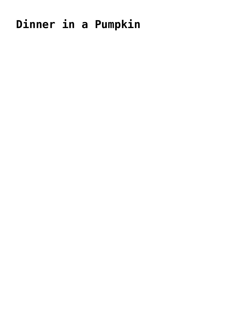## Dinner in a Pumpkin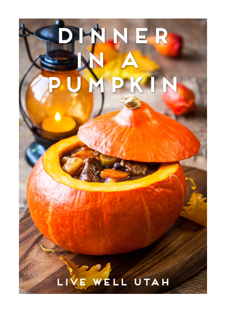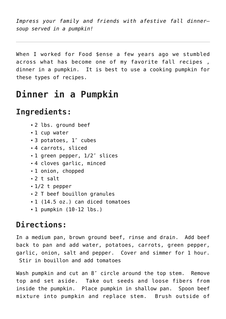*Impress your family and friends with afestive fall dinner soup served in a pumpkin!*

When I worked for Food \$ense a few years ago we stumbled across what has become one of my favorite fall recipes , dinner in a pumpkin. It is best to use a cooking pumpkin for these types of recipes.

## **Dinner in a Pumpkin**

## **Ingredients:**

- 2 lbs. ground beef
- 1 cup water
- 3 potatoes, 1″ cubes
- 4 carrots, sliced
- 1 green pepper, 1/2″ slices
- 4 cloves garlic, minced
- 1 onion, chopped
- $-2$  t salt
- $-1/2$  t pepper
- 2 T beef bouillon granules
- 1 (14.5 oz.) can diced tomatoes
- 1 pumpkin (10-12 lbs.)

## **Directions:**

In a medium pan, brown ground beef, rinse and drain. Add beef back to pan and add water, potatoes, carrots, green pepper, garlic, onion, salt and pepper. Cover and simmer for 1 hour. Stir in bouillon and add tomatoes

Wash pumpkin and cut an 8″ circle around the top stem. Remove top and set aside. Take out seeds and loose fibers from inside the pumpkin. Place pumpkin in shallow pan. Spoon beef mixture into pumpkin and replace stem. Brush outside of